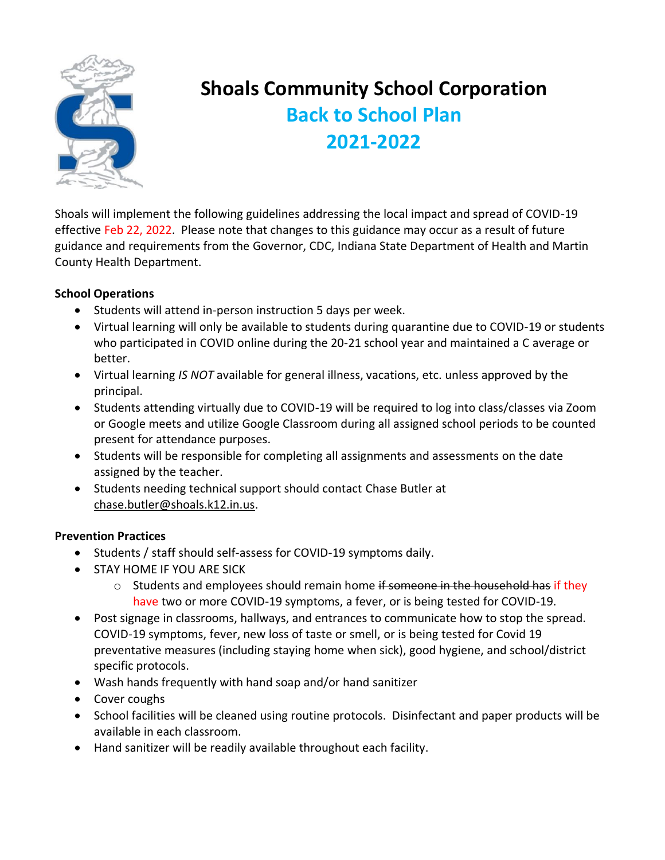

# **Shoals Community School Corporation Back to School Plan 2021-2022**

Shoals will implement the following guidelines addressing the local impact and spread of COVID-19 effective Feb 22, 2022. Please note that changes to this guidance may occur as a result of future guidance and requirements from the Governor, CDC, Indiana State Department of Health and Martin County Health Department.

### **School Operations**

- Students will attend in-person instruction 5 days per week.
- Virtual learning will only be available to students during quarantine due to COVID-19 or students who participated in COVID online during the 20-21 school year and maintained a C average or better.
- Virtual learning *IS NOT* available for general illness, vacations, etc. unless approved by the principal.
- Students attending virtually due to COVID-19 will be required to log into class/classes via Zoom or Google meets and utilize Google Classroom during all assigned school periods to be counted present for attendance purposes.
- Students will be responsible for completing all assignments and assessments on the date assigned by the teacher.
- Students needing technical support should contact Chase Butler at [chase.butler@shoals.k12.in.us.](mailto:chase.butler@shoals.k12.in.us)

### **Prevention Practices**

- Students / staff should self-assess for COVID-19 symptoms daily.
- STAY HOME IF YOU ARE SICK
	- o Students and employees should remain home if someone in the household has if they have two or more COVID-19 symptoms, a fever, or is being tested for COVID-19.
- Post signage in classrooms, hallways, and entrances to communicate how to stop the spread. COVID-19 symptoms, fever, new loss of taste or smell, or is being tested for Covid 19 preventative measures (including staying home when sick), good hygiene, and school/district specific protocols.
- Wash hands frequently with hand soap and/or hand sanitizer
- Cover coughs
- School facilities will be cleaned using routine protocols. Disinfectant and paper products will be available in each classroom.
- Hand sanitizer will be readily available throughout each facility.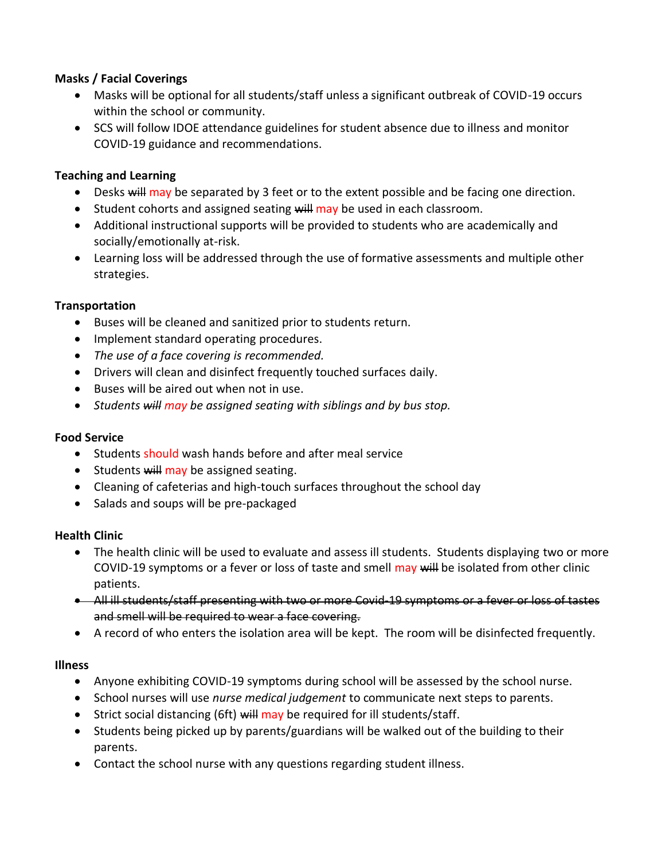### **Masks / Facial Coverings**

- Masks will be optional for all students/staff unless a significant outbreak of COVID-19 occurs within the school or community.
- SCS will follow IDOE attendance guidelines for student absence due to illness and monitor COVID-19 guidance and recommendations.

## **Teaching and Learning**

- Desks will may be separated by 3 feet or to the extent possible and be facing one direction.
- Student cohorts and assigned seating will may be used in each classroom.
- Additional instructional supports will be provided to students who are academically and socially/emotionally at-risk.
- Learning loss will be addressed through the use of formative assessments and multiple other strategies.

### **Transportation**

- Buses will be cleaned and sanitized prior to students return.
- Implement standard operating procedures.
- *The use of a face covering is recommended.*
- Drivers will clean and disinfect frequently touched surfaces daily.
- Buses will be aired out when not in use.
- *Students will may be assigned seating with siblings and by bus stop.*

### **Food Service**

- Students should wash hands before and after meal service
- Students will may be assigned seating.
- Cleaning of cafeterias and high-touch surfaces throughout the school day
- Salads and soups will be pre-packaged

### **Health Clinic**

- The health clinic will be used to evaluate and assess ill students. Students displaying two or more COVID-19 symptoms or a fever or loss of taste and smell may will be isolated from other clinic patients.
- All ill students/staff presenting with two or more Covid-19 symptoms or a fever or loss of tastes and smell will be required to wear a face covering.
- A record of who enters the isolation area will be kept. The room will be disinfected frequently.

### **Illness**

- Anyone exhibiting COVID-19 symptoms during school will be assessed by the school nurse.
- School nurses will use *nurse medical judgement* to communicate next steps to parents.
- Strict social distancing (6ft) will may be required for ill students/staff.
- Students being picked up by parents/guardians will be walked out of the building to their parents.
- Contact the school nurse with any questions regarding student illness.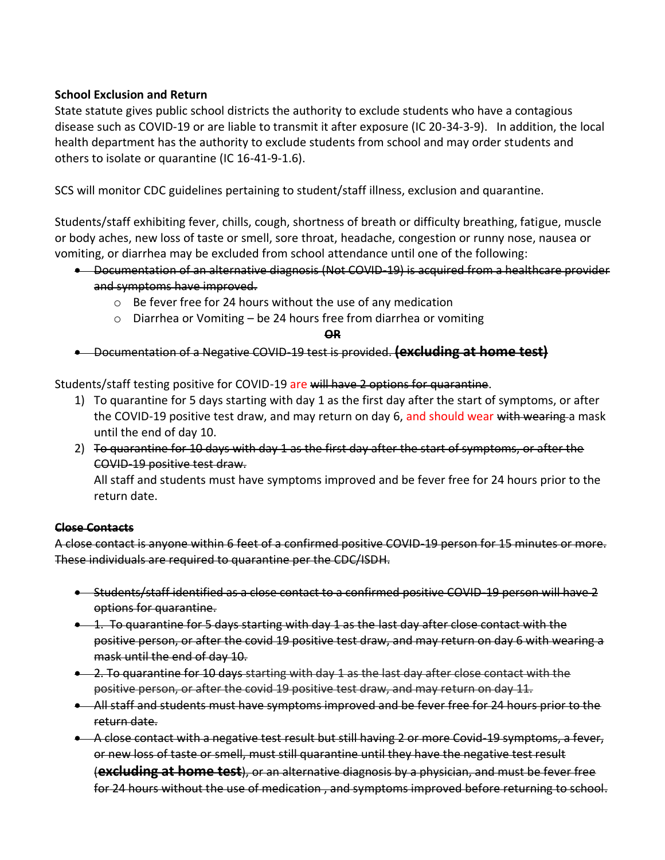### **School Exclusion and Return**

State statute gives public school districts the authority to exclude students who have a contagious disease such as COVID-19 or are liable to transmit it after exposure (IC 20-34-3-9). In addition, the local health department has the authority to exclude students from school and may order students and others to isolate or quarantine (IC 16-41-9-1.6).

SCS will monitor CDC guidelines pertaining to student/staff illness, exclusion and quarantine.

Students/staff exhibiting fever, chills, cough, shortness of breath or difficulty breathing, fatigue, muscle or body aches, new loss of taste or smell, sore throat, headache, congestion or runny nose, nausea or vomiting, or diarrhea may be excluded from school attendance until one of the following:

- Documentation of an alternative diagnosis (Not COVID-19) is acquired from a healthcare provider and symptoms have improved.
	- o Be fever free for 24 hours without the use of any medication
	- o Diarrhea or Vomiting be 24 hours free from diarrhea or vomiting

**OR**

• Documentation of a Negative COVID-19 test is provided. **(excluding at home test)**

Students/staff testing positive for COVID-19 are will have 2 options for quarantine.

- 1) To quarantine for 5 days starting with day 1 as the first day after the start of symptoms, or after the COVID-19 positive test draw, and may return on day 6, and should wear with wearing a mask until the end of day 10.
- 2) To quarantine for 10 days with day 1 as the first day after the start of symptoms, or after the COVID-19 positive test draw.

All staff and students must have symptoms improved and be fever free for 24 hours prior to the return date.

#### **Close Contacts**

A close contact is anyone within 6 feet of a confirmed positive COVID-19 person for 15 minutes or more. These individuals are required to quarantine per the CDC/ISDH.

- Students/staff identified as a close contact to a confirmed positive COVID-19 person will have 2 options for quarantine.
- 1. To quarantine for 5 days starting with day 1 as the last day after close contact with the positive person, or after the covid 19 positive test draw, and may return on day 6 with wearing a mask until the end of day 10.
- 2. To quarantine for 10 days starting with day 1 as the last day after close contact with the positive person, or after the covid 19 positive test draw, and may return on day 11.
- All staff and students must have symptoms improved and be fever free for 24 hours prior to the return date.
- A close contact with a negative test result but still having 2 or more Covid-19 symptoms, a fever, or new loss of taste or smell, must still quarantine until they have the negative test result (**excluding at home test**), or an alternative diagnosis by a physician, and must be fever free for 24 hours without the use of medication , and symptoms improved before returning to school.